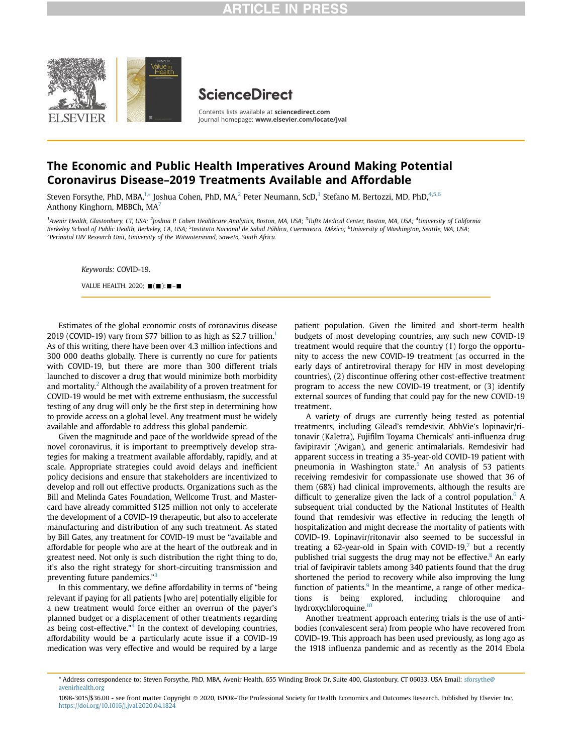

# **ScienceDirect**

Contents lists available at [sciencedirect.com](www.sciencedirect.com) Journal homepage: <www.elsevier.com/locate/jval>

# The Economic and Public Health Imperatives Around Making Potential Coronavirus Disease–2019 Treatments Available and Affordable

Steven Forsythe, PhD, MBA,<sup>1,</sup>\* Joshua Cohen, PhD, MA,<sup>2</sup> Peter Neumann, ScD,<sup>3</sup> Stefano M. Bertozzi, MD, PhD,<sup>4,5,6</sup> Anthony Kinghorn, MBBCh, MA7

<sup>1</sup>Avenir Health, Glastonbury, CT, USA; <sup>2</sup>Joshua P. Cohen Healthcare Analytics, Boston, MA, USA; <sup>3</sup>Tufts Medical Center, Boston, MA, USA; <sup>4</sup>University of California Berkeley School of Public Health, Berkeley, CA, USA; <sup>5</sup>Instituto Nacional de Salud Pública, Cuernavaca, México; <sup>6</sup>University of Washington, Seattle, WA, USA; <sup>7</sup> Perinatal HIV Research Unit, University of the Witwatersrand, Soweto, South Africa.

Keywords: COVID-19.

VALUE HEALTH. 2020;  $\blacksquare(\blacksquare)$ :  $\blacksquare - \blacksquare$ 

Estimates of the global economic costs of coronavirus disease 20[1](#page-3-0)9 (COVID-19) vary from \$77 billion to as high as \$2.7 trillion. $<sup>1</sup>$ </sup> As of this writing, there have been over 4.3 million infections and 300 000 deaths globally. There is currently no cure for patients with COVID-19, but there are more than 300 different trials launched to discover a drug that would minimize both morbidity and mortality.<sup>[2](#page-3-1)</sup> Although the availability of a proven treatment for COVID-19 would be met with extreme enthusiasm, the successful testing of any drug will only be the first step in determining how to provide access on a global level. Any treatment must be widely available and affordable to address this global pandemic.

Given the magnitude and pace of the worldwide spread of the novel coronavirus, it is important to preemptively develop strategies for making a treatment available affordably, rapidly, and at scale. Appropriate strategies could avoid delays and inefficient policy decisions and ensure that stakeholders are incentivized to develop and roll out effective products. Organizations such as the Bill and Melinda Gates Foundation, Wellcome Trust, and Mastercard have already committed \$125 million not only to accelerate the development of a COVID-19 therapeutic, but also to accelerate manufacturing and distribution of any such treatment. As stated by Bill Gates, any treatment for COVID-19 must be "available and affordable for people who are at the heart of the outbreak and in greatest need. Not only is such distribution the right thing to do, it's also the right strategy for short-circuiting transmission and preventing future pandemics."<sup>[3](#page-3-2)</sup>

In this commentary, we define affordability in terms of "being relevant if paying for all patients [who are] potentially eligible for a new treatment would force either an overrun of the payer's planned budget or a displacement of other treatments regarding as being cost-effective."<sup>[4](#page-3-3)</sup> In the context of developing countries, affordability would be a particularly acute issue if a COVID-19 medication was very effective and would be required by a large

patient population. Given the limited and short-term health budgets of most developing countries, any such new COVID-19 treatment would require that the country (1) forgo the opportunity to access the new COVID-19 treatment (as occurred in the early days of antiretroviral therapy for HIV in most developing countries), (2) discontinue offering other cost-effective treatment program to access the new COVID-19 treatment, or (3) identify external sources of funding that could pay for the new COVID-19 treatment.

A variety of drugs are currently being tested as potential treatments, including Gilead's remdesivir, AbbVie's lopinavir/ritonavir (Kaletra), Fujifilm Toyama Chemicals' anti-influenza drug favipiravir (Avigan), and generic antimalarials. Remdesivir had apparent success in treating a 35-year-old COVID-19 patient with pneumonia in Washington state. $5$  An analysis of 53 patients receiving remdesivir for compassionate use showed that 36 of them (68%) had clinical improvements, although the results are difficult to generalize given the lack of a control population.<sup>[6](#page-3-5)</sup> A subsequent trial conducted by the National Institutes of Health found that remdesivir was effective in reducing the length of hospitalization and might decrease the mortality of patients with COVID-19. Lopinavir/ritonavir also seemed to be successful in treating a 62-year-old in Spain with COVID-19, $<sup>7</sup>$  $<sup>7</sup>$  $<sup>7</sup>$  but a recently</sup> published trial suggests the drug may not be effective.<sup>[8](#page-3-7)</sup> An early trial of favipiravir tablets among 340 patients found that the drug shortened the period to recovery while also improving the lung function of patients. $9$  In the meantime, a range of other medications is being explored, including chloroquine and hydroxychloroquine.[10](#page-3-9)

Another treatment approach entering trials is the use of antibodies (convalescent sera) from people who have recovered from COVID-19. This approach has been used previously, as long ago as the 1918 influenza pandemic and as recently as the 2014 Ebola

<sup>\*</sup> Address correspondence to: Steven Forsythe, PhD, MBA, Avenir Health, 655 Winding Brook Dr, Suite 400, Glastonbury, CT 06033, USA Email: [sforsythe@](mailto:sforsythe@avenirhealth.org) [avenirhealth.org](mailto:sforsythe@avenirhealth.org)

<sup>1098-3015/\$36.00 -</sup> see front matter Copyright @ 2020, ISPOR-The Professional Society for Health Economics and Outcomes Research. Published by Elsevier Inc. <https://doi.org/10.1016/j.jval.2020.04.1824>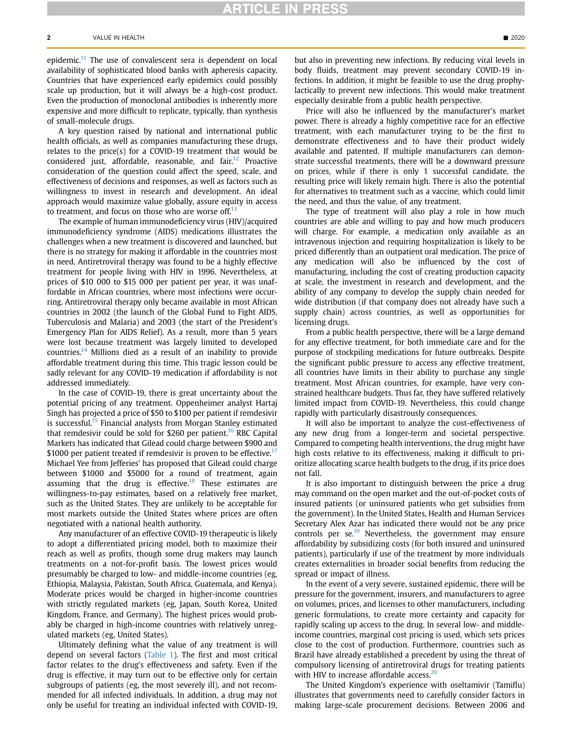**TICLE IN P** 

epidemic.<sup>11</sup> The use of convalescent sera is dependent on local availability of sophisticated blood banks with apheresis capacity. Countries that have experienced early epidemics could possibly scale up production, but it will always be a high-cost product. Even the production of monoclonal antibodies is inherently more expensive and more difficult to replicate, typically, than synthesis of small-molecule drugs.

A key question raised by national and international public health officials, as well as companies manufacturing these drugs, relates to the price(s) for a COVID-19 treatment that would be considered just, affordable, reasonable, and  $fair<sup>12</sup>$  Proactive consideration of the question could affect the speed, scale, and effectiveness of decisions and responses, as well as factors such as willingness to invest in research and development. An ideal approach would maximize value globally, assure equity in access to treatment, and focus on those who are worse off. $^{13}$ 

The example of human immunodeficiency virus (HIV)/acquired immunodeficiency syndrome (AIDS) medications illustrates the challenges when a new treatment is discovered and launched, but there is no strategy for making it affordable in the countries most in need. Antiretroviral therapy was found to be a highly effective treatment for people living with HIV in 1996. Nevertheless, at prices of \$10 000 to \$15 000 per patient per year, it was unaffordable in African countries, where most infections were occurring. Antiretroviral therapy only became available in most African countries in 2002 (the launch of the Global Fund to Fight AIDS, Tuberculosis and Malaria) and 2003 (the start of the President's Emergency Plan for AIDS Relief). As a result, more than 5 years were lost because treatment was largely limited to developed countries[.14](#page-3-13) Millions died as a result of an inability to provide affordable treatment during this time. This tragic lesson could be sadly relevant for any COVID-19 medication if affordability is not addressed immediately.

In the case of COVID-19, there is great uncertainty about the potential pricing of any treatment. Oppenheimer analyst Hartaj Singh has projected a price of \$50 to \$100 per patient if remdesivir is successful.<sup>[15](#page-3-14)</sup> Financial analysts from Morgan Stanley estimated that remdesivir could be sold for  $$260$  per patient.<sup>[16](#page-4-0)</sup> RBC Capital Markets has indicated that Gilead could charge between \$900 and \$1000 per patient treated if remdesivir is proven to be effective.<sup>17</sup> Michael Yee from Jefferies' has proposed that Gilead could charge between \$1000 and \$5000 for a round of treatment, again assuming that the drug is effective.<sup>18</sup> These estimates are willingness-to-pay estimates, based on a relatively free market, such as the United States. They are unlikely to be acceptable for most markets outside the United States where prices are often negotiated with a national health authority.

Any manufacturer of an effective COVID-19 therapeutic is likely to adopt a differentiated pricing model, both to maximize their reach as well as profits, though some drug makers may launch treatments on a not-for-profit basis. The lowest prices would presumably be charged to low- and middle-income countries (eg, Ethiopia, Malaysia, Pakistan, South Africa, Guatemala, and Kenya). Moderate prices would be charged in higher-income countries with strictly regulated markets (eg, Japan, South Korea, United Kingdom, France, and Germany). The highest prices would probably be charged in high-income countries with relatively unregulated markets (eg, United States).

Ultimately defining what the value of any treatment is will depend on several factors [\(Table 1](#page-2-0)). The first and most critical factor relates to the drug's effectiveness and safety. Even if the drug is effective, it may turn out to be effective only for certain subgroups of patients (eg, the most severely ill), and not recommended for all infected individuals. In addition, a drug may not only be useful for treating an individual infected with COVID-19,

but also in preventing new infections. By reducing viral levels in body fluids, treatment may prevent secondary COVID-19 infections. In addition, it might be feasible to use the drug prophylactically to prevent new infections. This would make treatment especially desirable from a public health perspective.

Price will also be influenced by the manufacturer's market power. There is already a highly competitive race for an effective treatment, with each manufacturer trying to be the first to demonstrate effectiveness and to have their product widely available and patented. If multiple manufacturers can demonstrate successful treatments, there will be a downward pressure on prices, while if there is only 1 successful candidate, the resulting price will likely remain high. There is also the potential for alternatives to treatment such as a vaccine, which could limit the need, and thus the value, of any treatment.

The type of treatment will also play a role in how much countries are able and willing to pay and how much producers will charge. For example, a medication only available as an intravenous injection and requiring hospitalization is likely to be priced differently than an outpatient oral medication. The price of any medication will also be influenced by the cost of manufacturing, including the cost of creating production capacity at scale, the investment in research and development, and the ability of any company to develop the supply chain needed for wide distribution (if that company does not already have such a supply chain) across countries, as well as opportunities for licensing drugs.

From a public health perspective, there will be a large demand for any effective treatment, for both immediate care and for the purpose of stockpiling medications for future outbreaks. Despite the significant public pressure to access any effective treatment, all countries have limits in their ability to purchase any single treatment. Most African countries, for example, have very constrained healthcare budgets. Thus far, they have suffered relatively limited impact from COVID-19. Nevertheless, this could change rapidly with particularly disastrously consequences.

It will also be important to analyze the cost-effectiveness of any new drug from a longer-term and societal perspective. Compared to competing health interventions, the drug might have high costs relative to its effectiveness, making it difficult to prioritize allocating scarce health budgets to the drug, if its price does not fall.

It is also important to distinguish between the price a drug may command on the open market and the out-of-pocket costs of insured patients (or uninsured patients who get subsidies from the government). In the United States, Health and Human Services Secretary Alex Azar has indicated there would not be any price controls per se.<sup>[19](#page-4-3)</sup> Nevertheless, the government may ensure affordability by subsidizing costs (for both insured and uninsured patients), particularly if use of the treatment by more individuals creates externalities in broader social benefits from reducing the spread or impact of illness.

In the event of a very severe, sustained epidemic, there will be pressure for the government, insurers, and manufacturers to agree on volumes, prices, and licenses to other manufacturers, including generic formulations, to create more certainty and capacity for rapidly scaling up access to the drug. In several low- and middleincome countries, marginal cost pricing is used, which sets prices close to the cost of production. Furthermore, countries such as Brazil have already established a precedent by using the threat of compulsory licensing of antiretroviral drugs for treating patients with HIV to increase affordable  $\arccos$ <sup>20</sup>

The United Kingdom's experience with oseltamivir (Tamiflu) illustrates that governments need to carefully consider factors in making large-scale procurement decisions. Between 2006 and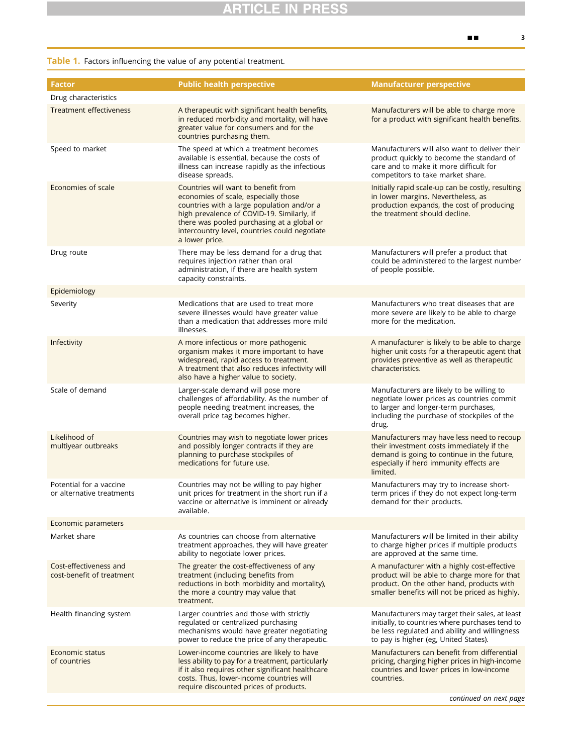## <span id="page-2-0"></span>Table 1. Factors influencing the value of any potential treatment.

| <b>Factor</b>                                        | <b>Public health perspective</b>                                                                                                                                                                                                                                                         | <b>Manufacturer perspective</b>                                                                                                                                                              |
|------------------------------------------------------|------------------------------------------------------------------------------------------------------------------------------------------------------------------------------------------------------------------------------------------------------------------------------------------|----------------------------------------------------------------------------------------------------------------------------------------------------------------------------------------------|
| Drug characteristics                                 |                                                                                                                                                                                                                                                                                          |                                                                                                                                                                                              |
| Treatment effectiveness                              | A therapeutic with significant health benefits,<br>in reduced morbidity and mortality, will have<br>greater value for consumers and for the<br>countries purchasing them.                                                                                                                | Manufacturers will be able to charge more<br>for a product with significant health benefits.                                                                                                 |
| Speed to market                                      | The speed at which a treatment becomes<br>available is essential, because the costs of<br>illness can increase rapidly as the infectious<br>disease spreads.                                                                                                                             | Manufacturers will also want to deliver their<br>product quickly to become the standard of<br>care and to make it more difficult for<br>competitors to take market share.                    |
| Economies of scale                                   | Countries will want to benefit from<br>economies of scale, especially those<br>countries with a large population and/or a<br>high prevalence of COVID-19. Similarly, if<br>there was pooled purchasing at a global or<br>intercountry level, countries could negotiate<br>a lower price. | Initially rapid scale-up can be costly, resulting<br>in lower margins. Nevertheless, as<br>production expands, the cost of producing<br>the treatment should decline.                        |
| Drug route                                           | There may be less demand for a drug that<br>requires injection rather than oral<br>administration, if there are health system<br>capacity constraints.                                                                                                                                   | Manufacturers will prefer a product that<br>could be administered to the largest number<br>of people possible.                                                                               |
| Epidemiology                                         |                                                                                                                                                                                                                                                                                          |                                                                                                                                                                                              |
| Severity                                             | Medications that are used to treat more<br>severe illnesses would have greater value<br>than a medication that addresses more mild<br>illnesses.                                                                                                                                         | Manufacturers who treat diseases that are<br>more severe are likely to be able to charge<br>more for the medication.                                                                         |
| Infectivity                                          | A more infectious or more pathogenic<br>organism makes it more important to have<br>widespread, rapid access to treatment.<br>A treatment that also reduces infectivity will<br>also have a higher value to society.                                                                     | A manufacturer is likely to be able to charge<br>higher unit costs for a therapeutic agent that<br>provides preventive as well as therapeutic<br>characteristics.                            |
| Scale of demand                                      | Larger-scale demand will pose more<br>challenges of affordability. As the number of<br>people needing treatment increases, the<br>overall price tag becomes higher.                                                                                                                      | Manufacturers are likely to be willing to<br>negotiate lower prices as countries commit<br>to larger and longer-term purchases,<br>including the purchase of stockpiles of the<br>drug.      |
| Likelihood of<br>multiyear outbreaks                 | Countries may wish to negotiate lower prices<br>and possibly longer contracts if they are<br>planning to purchase stockpiles of<br>medications for future use.                                                                                                                           | Manufacturers may have less need to recoup<br>their investment costs immediately if the<br>demand is going to continue in the future,<br>especially if herd immunity effects are<br>limited. |
| Potential for a vaccine<br>or alternative treatments | Countries may not be willing to pay higher<br>unit prices for treatment in the short run if a<br>vaccine or alternative is imminent or already<br>available.                                                                                                                             | Manufacturers may try to increase short-<br>term prices if they do not expect long-term<br>demand for their products.                                                                        |
| Economic parameters                                  |                                                                                                                                                                                                                                                                                          |                                                                                                                                                                                              |
| Market share                                         | As countries can choose from alternative<br>treatment approaches, they will have greater<br>ability to negotiate lower prices.                                                                                                                                                           | Manufacturers will be limited in their ability<br>to charge higher prices if multiple products<br>are approved at the same time.                                                             |
| Cost-effectiveness and<br>cost-benefit of treatment  | The greater the cost-effectiveness of any<br>treatment (including benefits from<br>reductions in both morbidity and mortality),<br>the more a country may value that<br>treatment.                                                                                                       | A manufacturer with a highly cost-effective<br>product will be able to charge more for that<br>product. On the other hand, products with<br>smaller benefits will not be priced as highly.   |
| Health financing system                              | Larger countries and those with strictly<br>regulated or centralized purchasing<br>mechanisms would have greater negotiating<br>power to reduce the price of any therapeutic.                                                                                                            | Manufacturers may target their sales, at least<br>initially, to countries where purchases tend to<br>be less regulated and ability and willingness<br>to pay is higher (eg, United States).  |
| Economic status<br>of countries                      | Lower-income countries are likely to have<br>less ability to pay for a treatment, particularly<br>if it also requires other significant healthcare<br>costs. Thus, lower-income countries will<br>require discounted prices of products.                                                 | Manufacturers can benefit from differential<br>pricing, charging higher prices in high-income<br>countries and lower prices in low-income<br>countries.                                      |
|                                                      |                                                                                                                                                                                                                                                                                          |                                                                                                                                                                                              |

 $-3$ 

continued on next page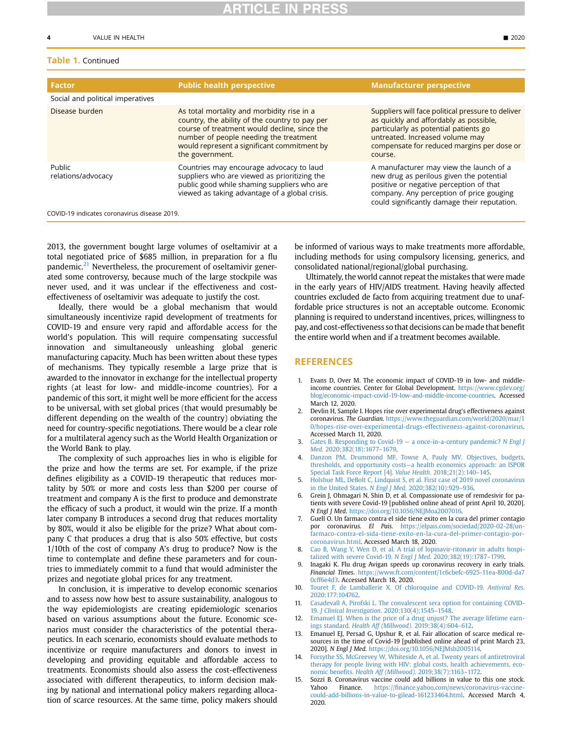## Table 1. Continued

| Factor                           | <b>Public health perspective</b>                                                                                                                                                                                                                         | <b>Manufacturer perspective</b>                                                                                                                                                                                                  |
|----------------------------------|----------------------------------------------------------------------------------------------------------------------------------------------------------------------------------------------------------------------------------------------------------|----------------------------------------------------------------------------------------------------------------------------------------------------------------------------------------------------------------------------------|
| Social and political imperatives |                                                                                                                                                                                                                                                          |                                                                                                                                                                                                                                  |
| Disease burden                   | As total mortality and morbidity rise in a<br>country, the ability of the country to pay per<br>course of treatment would decline, since the<br>number of people needing the treatment<br>would represent a significant commitment by<br>the government. | Suppliers will face political pressure to deliver<br>as quickly and affordably as possible,<br>particularly as potential patients go<br>untreated. Increased volume may<br>compensate for reduced margins per dose or<br>course. |
| Public<br>relations/advocacy     | Countries may encourage advocacy to laud<br>suppliers who are viewed as prioritizing the<br>public good while shaming suppliers who are<br>viewed as taking advantage of a global crisis.                                                                | A manufacturer may view the launch of a<br>new drug as perilous given the potential<br>positive or negative perception of that<br>company. Any perception of price gouging<br>could significantly damage their reputation.       |

COVID-19 indicates coronavirus disease 2019.

2013, the government bought large volumes of oseltamivir at a total negotiated price of \$685 million, in preparation for a flu pandemic. $^{21}$  Nevertheless, the procurement of oseltamivir generated some controversy, because much of the large stockpile was never used, and it was unclear if the effectiveness and costeffectiveness of oseltamivir was adequate to justify the cost.

Ideally, there would be a global mechanism that would simultaneously incentivize rapid development of treatments for COVID-19 and ensure very rapid and affordable access for the world's population. This will require compensating successful innovation and simultaneously unleashing global generic manufacturing capacity. Much has been written about these types of mechanisms. They typically resemble a large prize that is awarded to the innovator in exchange for the intellectual property rights (at least for low- and middle-income countries). For a pandemic of this sort, it might well be more efficient for the access to be universal, with set global prices (that would presumably be different depending on the wealth of the country) obviating the need for country-specific negotiations. There would be a clear role for a multilateral agency such as the World Health Organization or the World Bank to play.

The complexity of such approaches lies in who is eligible for the prize and how the terms are set. For example, if the prize defines eligibility as a COVID-19 therapeutic that reduces mortality by 50% or more and costs less than \$200 per course of treatment and company A is the first to produce and demonstrate the efficacy of such a product, it would win the prize. If a month later company B introduces a second drug that reduces mortality by 80%, would it also be eligible for the prize? What about company C that produces a drug that is also 50% effective, but costs 1/10th of the cost of company A's drug to produce? Now is the time to contemplate and define these parameters and for countries to immediately commit to a fund that would administer the prizes and negotiate global prices for any treatment.

In conclusion, it is imperative to develop economic scenarios and to assess now how best to assure sustainability, analogous to the way epidemiologists are creating epidemiologic scenarios based on various assumptions about the future. Economic scenarios must consider the characteristics of the potential therapeutics. In each scenario, economists should evaluate methods to incentivize or require manufacturers and donors to invest in developing and providing equitable and affordable access to treatments. Economists should also assess the cost-effectiveness associated with different therapeutics, to inform decision making by national and international policy makers regarding allocation of scarce resources. At the same time, policy makers should

be informed of various ways to make treatments more affordable, including methods for using compulsory licensing, generics, and consolidated national/regional/global purchasing.

Ultimately, the world cannot repeat the mistakes that were made in the early years of HIV/AIDS treatment. Having heavily affected countries excluded de facto from acquiring treatment due to unaffordable price structures is not an acceptable outcome. Economic planning is required to understand incentives, prices, willingness to pay, and cost-effectiveness so that decisions can be made that benefit the entire world when and if a treatment becomes available.

### REFERENCES

- <span id="page-3-0"></span>Evans D, Over M. The economic impact of COVID-19 in low- and middleincome countries. Center for Global Development. [https://www.cgdev.org/](https://www.cgdev.org/blog/economic-impact-covid-19-low-and-middle-income-countries) [blog/economic-impact-covid-19-low-and-middle-income-countries](https://www.cgdev.org/blog/economic-impact-covid-19-low-and-middle-income-countries). Accessed March 12, 2020.
- <span id="page-3-1"></span>2. Devlin H, Sample I. Hopes rise over experimental drug's effectiveness against coronavirus. The Guardian. [https://www.theguardian.com/world/2020/mar/1](https://www.theguardian.com/world/2020/mar/10/hopes-rise-over-experimental-drugs-effectiveness-against-coronavirus) [0/hopes-rise-over-experimental-drugs-effectiveness-against-coronavirus](https://www.theguardian.com/world/2020/mar/10/hopes-rise-over-experimental-drugs-effectiveness-against-coronavirus). Accessed March 11, 2020.
- <span id="page-3-2"></span>3. [Gates B. Responding to Covid-19](http://refhub.elsevier.com/S1098-3015(20)32049-0/sref3) — a once-in-a-century pandemic? N Engl J Med[. 2020;382\(18\):1677](http://refhub.elsevier.com/S1098-3015(20)32049-0/sref3)–1679.
- <span id="page-3-3"></span>[Danzon PM, Drummond MF, Towse A, Pauly MV. Objectives, budgets,](http://refhub.elsevier.com/S1098-3015(20)32049-0/sref4) thresholds, and opportunity costs—[a health economics approach: an ISPOR](http://refhub.elsevier.com/S1098-3015(20)32049-0/sref4) [Special Task Force Report \[4\].](http://refhub.elsevier.com/S1098-3015(20)32049-0/sref4) Value Health. 2018;21(2):140–145.
- <span id="page-3-4"></span>5. [Holshue ML, DeBolt C, Lindquist S, et al. First case of 2019 novel coronavirus](http://refhub.elsevier.com/S1098-3015(20)32049-0/sref5) [in the United States.](http://refhub.elsevier.com/S1098-3015(20)32049-0/sref5) N Engl J Med. 2020;382(10):929–936.
- <span id="page-3-5"></span>6. Grein J, Ohmagari N, Shin D, et al. Compassionate use of remdesivir for patients with severe Covid-19 [published online ahead of print April 10, 2020]. N Engl J Med. <https://doi.org/10.1056/NEJMoa2007016>.
- <span id="page-3-6"></span>7. Guell O. Un farmaco contra el side tiene exito en la cura del primer contagio por coronavirus. El Pais. [https://elpais.com/sociedad/2020-02-28/un](https://elpais.com/sociedad/2020-02-28/un-farmaco-contra-el-sida-tiene-exito-en-la-cura-del-primer-contagio-por-coronavirus.html)[farmaco-contra-el-sida-tiene-exito-en-la-cura-del-primer-contagio-por](https://elpais.com/sociedad/2020-02-28/un-farmaco-contra-el-sida-tiene-exito-en-la-cura-del-primer-contagio-por-coronavirus.html)[coronavirus.html.](https://elpais.com/sociedad/2020-02-28/un-farmaco-contra-el-sida-tiene-exito-en-la-cura-del-primer-contagio-por-coronavirus.html) Accessed March 18, 2020.
- <span id="page-3-7"></span>8. [Cao B, Wang Y, Wen D, et al. A trial of lopinavir-ritonavir in adults hospi](http://refhub.elsevier.com/S1098-3015(20)32049-0/sref8)[talized with severe Covid-19.](http://refhub.elsevier.com/S1098-3015(20)32049-0/sref8) N Engl J Med. 2020;382(19):1787–1799.
- <span id="page-3-8"></span>9. Inagaki K. Flu drug Avigan speeds up coronavirus recovery in early trials. Financial Times. [https://www.ft.com/content/1c6cbefc-6925-11ea-800d-da7](https://www.ft.com/content/1c6cbefc-6925-11ea-800d-da70cff6e4d3) [0cff6e4d3](https://www.ft.com/content/1c6cbefc-6925-11ea-800d-da70cff6e4d3). Accessed March 18, 2020.
- <span id="page-3-9"></span>10. [Touret F, de Lamballerie X. Of chloroquine and COVID-19.](http://refhub.elsevier.com/S1098-3015(20)32049-0/sref10) Antiviral Res. [2020;177:104762](http://refhub.elsevier.com/S1098-3015(20)32049-0/sref10).
- <span id="page-3-10"></span>11. [Casadevall A, Pirofski L. The convalescent sera option for containing COVID-](http://refhub.elsevier.com/S1098-3015(20)32049-0/sref11)19. [J Clinical Investigation](http://refhub.elsevier.com/S1098-3015(20)32049-0/sref11). 2020;130(4):1545–1548.
- <span id="page-3-11"></span>12. [Emanuel EJ. When is the price of a drug unjust? The average lifetime earn](http://refhub.elsevier.com/S1098-3015(20)32049-0/sref12)ings standard. [Health Aff \(Millwood\)](http://refhub.elsevier.com/S1098-3015(20)32049-0/sref12). 2019;38(4):604–612.
- <span id="page-3-12"></span>13. Emanuel EJ, Persad G, Upshur R, et al. Fair allocation of scarce medical resources in the time of Covid-19 [published online ahead of print March 23, 2020]. N Engl J Med. [https://doi.org/10.1056/NEJMsb2005114.](https://doi.org/10.1056/NEJMsb2005114)
- <span id="page-3-13"></span>14. [Forsythe SS, McGreevey W, Whiteside A, et al. Twenty years of antiretroviral](http://refhub.elsevier.com/S1098-3015(20)32049-0/sref14) [therapy for people living with HIV: global costs, health achievements, eco](http://refhub.elsevier.com/S1098-3015(20)32049-0/sref14)nomic benefits. [Health Aff \(Millwood\)](http://refhub.elsevier.com/S1098-3015(20)32049-0/sref14). 2019;38(7):1163–1172.
- <span id="page-3-14"></span>15. Sozzi B. Coronavirus vaccine could add billions in value to this one stock. Yahoo Finance. https://fi[nance.yahoo.com/news/coronavirus-vaccine](https://finance.yahoo.com/news/coronavirus-vaccine-could-add-billions-in-value-to-gilead-161233464.html)[could-add-billions-in-value-to-gilead-161233464.html.](https://finance.yahoo.com/news/coronavirus-vaccine-could-add-billions-in-value-to-gilead-161233464.html) Accessed March 4, 2020.